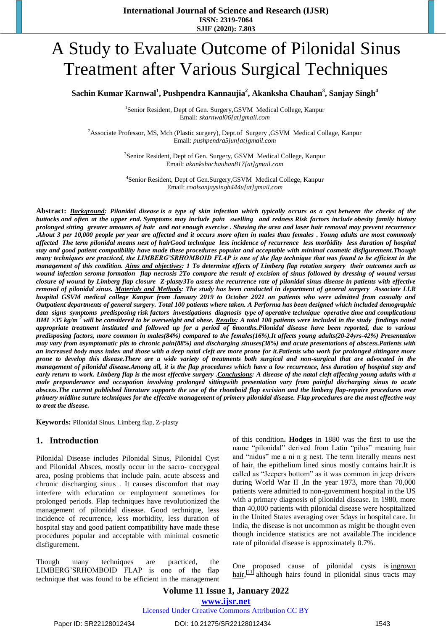# A Study to Evaluate Outcome of Pilonidal Sinus Treatment after Various Surgical Techniques

**Sachin Kumar Karnwal<sup>1</sup> , Pushpendra Kannaujia<sup>2</sup> , Akanksha Chauhan<sup>3</sup> , Sanjay Singh<sup>4</sup>**

<sup>1</sup>Senior Resident, Dept of Gen. Surgery, GSVM Medical College, Kanpur Email: *[skarnwal06\[at\]gmail.com](mailto:skarnwal06@gmail.com,)*

<sup>2</sup>Associate Professor, MS, Mch (Plastic surgery), Dept.of Surgery ,GSVM Medical Collage, Kanpur Email: *pushpendra5jun[at]gmail.com*

> <sup>3</sup>Senior Resident, Dept of Gen. Surgery, GSVM Medical College, Kanpur Email: *[akankshachauhan817\[at\]gmail.com](mailto:akankshachauhan817@gmail.com,)*

> 4 Senior Resident, Dept of Gen.Surgery,GSVM Medical College, Kanpur Email: *[coolsanjaysingh444u\[at\]gmail.com](mailto:coolsanjaysingh444u@gmail.com)*

**Abstract:** *Background: Pilonidal disease is a type of skin infection which typically occurs as a cyst [between the cheeks of the](https://en.wikipedia.org/wiki/Intergluteal_cleft)  [buttocks](https://en.wikipedia.org/wiki/Intergluteal_cleft) and often at the upper end. Symptoms may include pain swelling and redness Risk factors include [obesity](https://en.wikipedia.org/wiki/Obesity) family history prolonged sitting greater amounts of hair and not enough exercise . [Shaving](https://en.wikipedia.org/wiki/Shaving) the area and laser hair removal may prevent recurrence .About 3 per 10,000 people per year are affected and it occurs more often in males than females . Young adults are most commonly affected The term pilonidal means nest of hairGood technique less incidence of recurrence less morbidity less duration of hospital stay and good patient compatibility have made these procedures popular and acceptable with minimal cosmetic disfigurement.Though many techniques are practiced, the LIMBERG'SRHOMBOID FLAP is one of the flap technique that was found to be efficient in the management of this condition. Aims and objectives: 1 To determine effects of Limberg flap rotation surgery their outcomes such as wound infection seroma formation flap necrosis 2To compare the result of excision of sinus followed by dressing of wound versus closure of wound by Limberg flap closure Z-plasty3To assess the recurrence rate of pilonidal sinus disease in patients with effective removal of pilonidal sinus. Materials and Methods: The study has been conducted in department of general surgery Associate LLR hospital GSVM medical college Kanpur from January 2019 to October 2021 on patients who were admitted from casualty and Outpatient departments of general surgery. Total 100 patients where taken. A Performa has been designed which included demographic data signs symptoms predisposing risk factors investigations diagnosis type of operative technique operative time and complications BMI >35 kg/m <sup>2</sup> will be considered to be overweight and obese. Results: A total 100 patients were included in the study findings noted appropriate treatment instituted and followed up for a period of 6months.Pilonidal disease have been reported, due to various predisposing factors, more common in males(84%) compared to the females(16%).It affects young adults(20-24yrs-42%) Presentation may vary from asymptomatic pits to chronic pain(88%) and discharging sinuses(38%) and acute presentations of abscess.Patients with an increased body mass index and those with a deep natal cleft are more prone for it.Patients who work for prolonged sittingare more prone to develop this disease.There are a wide variety of treatments both surgical and non-surgical that are advocated in the management of pilonidal disease.Among all, it is the flap procedures which have a low recurrence, less duration of hospital stay and early return to work. Limberg flap is the most effective surgery .Conclusions: A disease of the natal cleft affecting young adults with a male preponderance and occupation involving prolonged sittingwith presentation vary from painful discharging sinus to acute abscess.The current published literature supports the use of the rhomboid flap excision and the limberg flap-repaire procedures over primery midline suture techniques for the effective management of primery pilonidal disease. Flap procedures are the most effective way to treat the disease.*

**Keywords:** Pilonidal Sinus, Limberg flap, Z-plasty

#### **1. Introduction**

Pilonidal Disease includes Pilonidal Sinus, Pilonidal Cyst and Pilonidal Absces, mostly occur in the sacro- coccygeal area, posing problems that include pain, acute abscess and chronic discharging sinus . It causes discomfort that may interfere with education or employment sometimes for prolonged periods. Flap techniques have revolutionized the management of pilonidal disease. Good technique, less incidence of recurrence, less morbidity, less duration of hospital stay and good patient compatibility have made these procedures popular and acceptable with minimal cosmetic disfigurement.

Though many techniques are practiced, the LIMBERG'SRHOMBOID FLAP is one of the flap technique that was found to be efficient in the management of this condition**. Hodges** in 1880 was the first to use the name "pilonidal" derived from Latin "pilus" meaning hair and "nidus" me a ni n g nest. The term literally means nest of hair, the epithelium lined sinus mostly contains hair.It is called as "Jeepers bottom" as it was common in jeep drivers during World War II ,In the year 1973, more than 70,000 patients were admitted to non-government hospital in the US with a primary diagnosis of pilonidal disease. In 1980, more than 40,000 patients with pilonidal disease were hospitalized in the United States averaging over 5days in hospital care. In India, the disease is not uncommon as might be thought even though incidence statistics are not available.The incidence rate of pilonidal disease is approximately 0.7%.

One proposed cause of pilonidal cysts is [ingrown](https://en.wikipedia.org/wiki/Ingrown_hair)   $\underline{hair}$ , [\[11\]](https://en.wikipedia.org/wiki/Pilonidal_disease#cite_note-title-Pilonidal_cyst._Mayo_Clinic-11) although hairs found in pilonidal sinus tracts may

**Volume 11 Issue 1, January 2022 www.ijsr.net**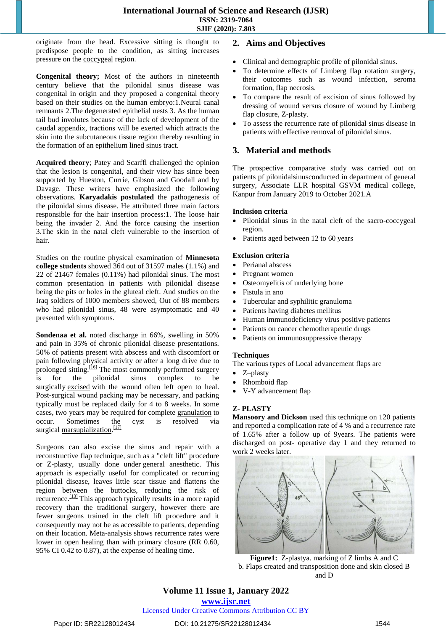originate from the head. Excessive sitting is thought to predispose people to the condition, as sitting increases pressure on the [coccygeal](https://en.wikipedia.org/wiki/Coccygeal) region.

**Congenital theory;** Most of the authors in nineteenth century believe that the pilonidal sinus disease was congenital in origin and they proposed a congenital theory based on their studies on the human embryo:1.Neural canal remnants 2.The degenerated epithelial nests 3. As the human tail bud involutes because of the lack of development of the caudal appendix, tractions will be exerted which attracts the skin into the subcutaneous tissue region thereby resulting in the formation of an epithelium lined sinus tract.

**Acquired theory**; Patey and Scarffl challenged the opinion that the lesion is congenital, and their view has since been supported by Hueston, Currie, Gibson and Goodall and by Davage. These writers have emphasized the following observations. **Karyadakis postulated** the pathogenesis of the pilonidal sinus disease. He attributed three main factors responsible for the hair insertion process:1. The loose hair being the invader 2. And the force causing the insertion 3.The skin in the natal cleft vulnerable to the insertion of hair.

Studies on the routine physical examination of **Minnesota college students** showed 364 out of 31597 males (1.1%) and 22 of 21467 females (0.11%) had pilonidal sinus. The most common presentation in patients with pilonidal disease being the pits or holes in the gluteal cleft. And studies on the Iraq soldiers of 1000 members showed, Out of 88 members who had pilonidal sinus, 48 were asymptomatic and 40 presented with symptoms.

**Sondenaa et al.** noted discharge in 66%, swelling in 50% and pain in 35% of chronic pilonidal disease presentations. 50% of patients present with abscess and with discomfort or pain following physical activity or after a long drive due to prolonged sitting.<sup>[\[16\]](https://en.wikipedia.org/wiki/Pilonidal_disease#cite_note-16)</sup> The most commonly performed surgery is for the pilonidal sinus complex to be surgically [excised](https://en.wikipedia.org/wiki/Biopsy) with the wound often left open to heal. Post-surgical wound packing may be necessary, and packing typically must be replaced daily for 4 to 8 weeks. In some cases, two years may be required for complete [granulation](https://en.wikipedia.org/wiki/Granulation_tissue) to occur. Sometimes the cyst is resolved via surgical [marsupialization.](https://en.wikipedia.org/wiki/Marsupialization)<sup>[\[17\]](https://en.wikipedia.org/wiki/Pilonidal_disease#cite_note-pmid23577714-17)</sup>

Surgeons can also excise the sinus and repair with a reconstructive flap technique, such as a "cleft lift" procedure or Z-plasty, usually done under [general anesthetic.](https://en.wikipedia.org/wiki/General_anesthetic) This approach is especially useful for complicated or recurring pilonidal disease, leaves little scar tissue and flattens the region between the buttocks, reducing the risk of recurrence.<sup>[\[13\]](https://en.wikipedia.org/wiki/Pilonidal_disease#cite_note-Bascom-13)</sup> This approach typically results in a more rapid recovery than the traditional surgery, however there are fewer surgeons trained in the cleft lift procedure and it consequently may not be as accessible to patients, depending on their location. Meta-analysis shows recurrence rates were lower in open healing than with primary closure (RR 0.60, 95% CI 0.42 to 0.87), at the expense of healing time.

# **2. Aims and Objectives**

- Clinical and demographic profile of pilonidal sinus.
- To determine effects of Limberg flap rotation surgery, their outcomes such as wound infection, seroma formation, flap necrosis.
- To compare the result of excision of sinus followed by dressing of wound versus closure of wound by Limberg flap closure, Z-plasty.
- To assess the recurrence rate of pilonidal sinus disease in patients with effective removal of pilonidal sinus.

# **3. Material and methods**

The prospective comparative study was carried out on patients pf pilonidalsinusconducted in department of general surgery, Associate LLR hospital GSVM medical college, Kanpur from January 2019 to October 2021.A

#### **Inclusion criteria**

- Pilonidal sinus in the natal cleft of the sacro-coccygeal region.
- Patients aged between 12 to 60 years

#### **Exclusion criteria**

- Perianal abscess
- Pregnant women
- Osteomyelitis of underlying bone
- Fistula in ano
- Tubercular and syphilitic granuloma
- Patients having diabetes mellitus
- Human immunodeficiency virus positive patients
- Patients on cancer chemotherapeutic drugs
- Patients on immunosuppressive therapy

#### **Techniques**

The various types of Local advancement flaps are

- Z–plasty
- Rhomboid flap
- V-Y advancement flap

#### **Z- PLASTY**

**Mansoory and Dickson** used this technique on 120 patients and reported a complication rate of 4 % and a recurrence rate of 1.65% after a follow up of 9years. The patients were discharged on post- operative day 1 and they returned to work 2 weeks later.



**Figure1:** Z-plastya. marking of Z limbs A and C b. Flaps created and transposition done and skin closed B and D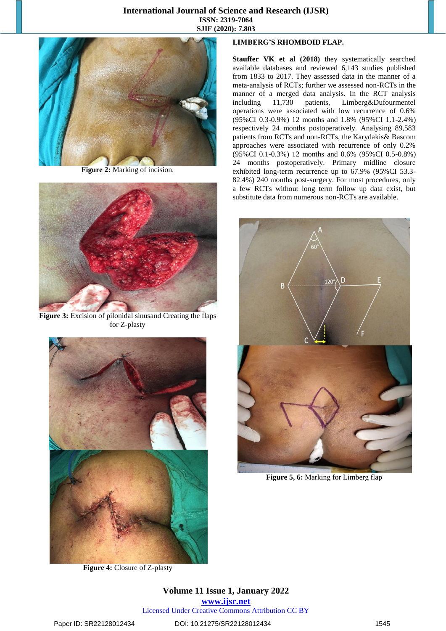

**Figure 2: Marking of incision.** 



Figure 3: Excision of pilonidal sinusand Creating the flaps for Z-plasty



**Figure 4:** Closure of Z-plasty

## **LIMBERG'S RHOMBOID FLAP.**

**Stauffer VK et al (2018)** they systematically searched available databases and reviewed 6,143 studies published from 1833 to 2017. They assessed data in the manner of a meta-analysis of RCTs; further we assessed non-RCTs in the manner of a merged data analysis. In the RCT analysis including 11,730 patients, Limberg&Dufourmentel operations were associated with low recurrence of 0.6% (95%CI 0.3-0.9%) 12 months and 1.8% (95%CI 1.1-2.4%) respectively 24 months postoperatively. Analysing 89,583 patients from RCTs and non-RCTs, the Karydakis& Bascom approaches were associated with recurrence of only 0.2% (95%CI 0.1-0.3%) 12 months and 0.6% (95%CI 0.5-0.8%) 24 months postoperatively. Primary midline closure exhibited long-term recurrence up to 67.9% (95%CI 53.3- 82.4%) 240 months post-surgery. For most procedures, only a few RCTs without long term follow up data exist, but substitute data from numerous non-RCTs are available.



**Figure 5, 6:** Marking for Limberg flap

**Volume 11 Issue 1, January 2022 www.ijsr.net** Licensed Under Creative Commons Attribution CC BY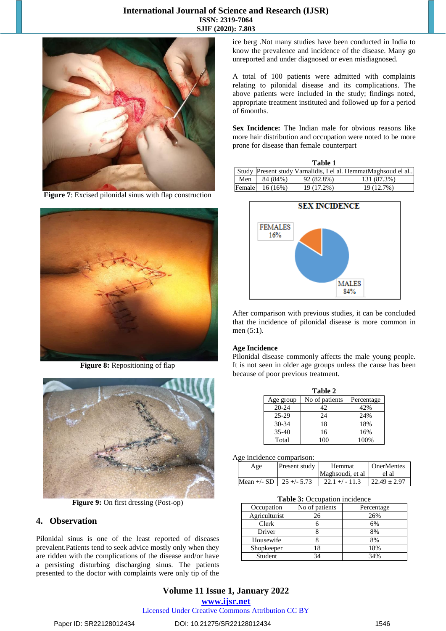

**Figure 7**: Excised pilonidal sinus with flap construction



**Figure 8:** Repositioning of flap



**Figure 9:** On first dressing (Post-op)

## **4. Observation**

Pilonidal sinus is one of the least reported of diseases prevalent.Patients tend to seek advice mostly only when they are ridden with the complications of the disease and/or have a persisting disturbing discharging sinus. The patients presented to the doctor with complaints were only tip of the ice berg .Not many studies have been conducted in India to know the prevalence and incidence of the disease. Many go unreported and under diagnosed or even misdiagnosed.

A total of 100 patients were admitted with complaints relating to pilonidal disease and its complications. The above patients were included in the study; findings noted, appropriate treatment instituted and followed up for a period of 6months.

**Sex Incidence:** The Indian male for obvious reasons like more hair distribution and occupation were noted to be more prone for disease than female counterpart

| Table 1 |            |            |                                                               |  |  |
|---------|------------|------------|---------------------------------------------------------------|--|--|
|         |            |            | Study Present study Varnalidis, I el al. HemmatMaghsoud el al |  |  |
| Men     | 84 (84%)   | 92 (82.8%) | 131 (87.3%)                                                   |  |  |
| Female  | $16(16\%)$ | 19 (17.2%) | 19 (12.7%)                                                    |  |  |



After comparison with previous studies, it can be concluded that the incidence of pilonidal disease is more common in men (5:1).

#### **Age Incidence**

Pilonidal disease commonly affects the male young people. It is not seen in older age groups unless the cause has been because of poor previous treatment.

| Table 2   |                |            |  |  |  |
|-----------|----------------|------------|--|--|--|
| Age group | No of patients | Percentage |  |  |  |
| $20 - 24$ | 42             | 42%        |  |  |  |
| 25-29     | 24             | 24%        |  |  |  |
| $30 - 34$ | 18             | 18%        |  |  |  |
| $35 - 40$ | 16             | 16%        |  |  |  |
| Total     | 100            | 100%       |  |  |  |

#### Age incidence comparison:

| Present study<br>Age          |  | <b>Hemmat</b>     | <b>OnerMentes</b> |  |
|-------------------------------|--|-------------------|-------------------|--|
|                               |  | Maghsoudi, et al. | el al             |  |
| Mean $+/-$ SD   25 $+/-$ 5.73 |  | $22.1 + (-11.3)$  | $122.49 \pm 2.97$ |  |

**Table 3:** Occupation incidence

| Occupation    | No of patients | Percentage |
|---------------|----------------|------------|
| Agriculturist | 26             | 26%        |
| Clerk         |                | 6%         |
| Driver        |                | 8%         |
| Housewife     |                | 8%         |
| Shopkeeper    | 18             | 18%        |
| Student       |                | 34%        |

# **Volume 11 Issue 1, January 2022**

**www.ijsr.net**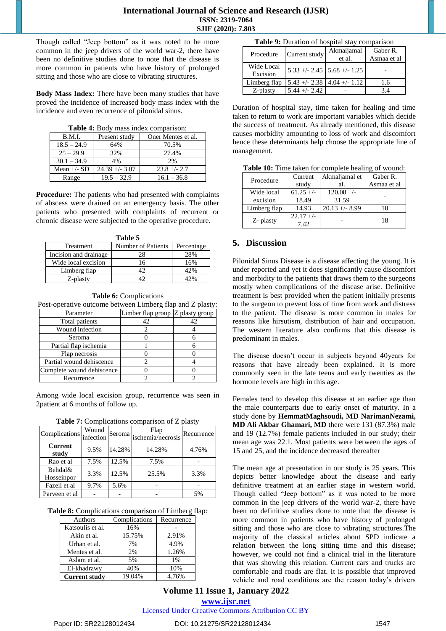Though called "Jeep bottom" as it was noted to be more common in the jeep drivers of the world war-2, there have been no definitive studies done to note that the disease is more common in patients who have history of prolonged sitting and those who are close to vibrating structures.

**Body Mass Index:** There have been many studies that have proved the incidence of increased body mass index with the incidence and even recurrence of pilonidal sinus.

**Table 4:** Body mass index comparison:

| B.M.I.        | Present study    | Oner Mentes et al. |  |  |
|---------------|------------------|--------------------|--|--|
| $18.5 - 24.9$ | 64%              | 70.5%              |  |  |
| $25 - 29.9$   | 32%              | 27.4%              |  |  |
| $30.1 - 34.9$ | 4%               | 2%                 |  |  |
| Mean $+/-$ SD | $24.39 + - 3.07$ | $23.8 + - 2.7$     |  |  |
| Range         | $19.5 - 32.9$    | $16.1 - 36.8$      |  |  |

**Procedure:** The patients who had presented with complaints of abscess were drained on an emergency basis. The other patients who presented with complaints of recurrent or chronic disease were subjected to the operative procedure.

| Table 5               |                    |            |  |  |
|-----------------------|--------------------|------------|--|--|
| Treatment             | Number of Patients | Percentage |  |  |
| Incision and drainage | 28                 | 28%        |  |  |
| Wide local excision   | 16                 | 16%        |  |  |
| Limberg flap          | 12                 | 42%        |  |  |
| Z-plasty              |                    |            |  |  |

**Table 6:** Complications

Post-operative outcome between Limberg flap and Z plasty:

| Parameter                 | Limber flap group Z plasty group |  |
|---------------------------|----------------------------------|--|
| Total patients            |                                  |  |
| Wound infection           |                                  |  |
| Seroma                    |                                  |  |
| Partial flap ischemia     |                                  |  |
| Flap necrosis             |                                  |  |
| Partial wound dehiscence  |                                  |  |
| Complete wound dehiscence |                                  |  |
| Recurrence                |                                  |  |

Among wide local excision group, recurrence was seen in 2patient at 6 months of follow up.

|  | <b>Table 7:</b> Complications comparison of Z plasty |  |
|--|------------------------------------------------------|--|
|  |                                                      |  |

| (Complications infection) | Wound |        | Flap<br>Seroma ischemia/necrosis | Recurrence |
|---------------------------|-------|--------|----------------------------------|------------|
| <b>Current</b><br>study   | 9.5%  | 14.28% | 14.28%                           | 4.76%      |
| Rao et al                 | 7.5%  | 12.5%  | 7.5%                             |            |
| Behdal&<br>Hosseinpor     | 3.3%  | 12.5%  | 25.5%                            | 3.3%       |
| Fazeli et al              | 9.7%  | 5.6%   |                                  |            |
| Parveen et al             |       |        |                                  | 5%         |

**Table 8:** Complications comparison of Limberg flap:

| Authors              | Complications | Recurrence |
|----------------------|---------------|------------|
| Katsoulis et al.     | 16%           |            |
| Akin et al.          | 15.75%        | 2.91%      |
| Urhan et al.         | 7%            | 4.9%       |
| Mentes et al.        | 2%            | 1.26%      |
| Aslam et al.         | 5%            | $1\%$      |
| El-khadrawy          | 40%           | 10%        |
| <b>Current study</b> | 19.04%        | 4.76%      |

| Table 9: Duration of hospital stay comparison |  |  |
|-----------------------------------------------|--|--|
|-----------------------------------------------|--|--|

| Procedure              | Current study   | Akmaljamal<br>et al.            | Gaber R.<br>Asmaa et al |
|------------------------|-----------------|---------------------------------|-------------------------|
| Wide Local<br>Excision |                 | $5.33 +/- 2.45$ 5.68 +/- 1.25   |                         |
| Limberg flap           |                 | $5.43 + - 2.38$ 4.04 + $- 1.12$ | 1.6                     |
| Z-plasty               | $5.44 +/- 2.42$ |                                 | 3.4                     |

Duration of hospital stay, time taken for healing and time taken to return to work are important variables which decide the success of treatment. As already mentioned, this disease causes morbidity amounting to loss of work and discomfort hence these determinants help choose the appropriate line of management.

|  |  | Table 10: Time taken for complete healing of wound: |  |  |  |  |  |
|--|--|-----------------------------------------------------|--|--|--|--|--|
|--|--|-----------------------------------------------------|--|--|--|--|--|

| Procedure    | Current     | Akmaljamal et    | Gaber R.    |  |
|--------------|-------------|------------------|-------------|--|
|              | study       | al.              | Asmaa et al |  |
| Wide local   | $61.25 +/-$ | $120.08 +/-$     |             |  |
| excision     | 18.49       | 31.59            |             |  |
| Limberg flap | 14.93       | $20.13 + - 8.99$ | 10          |  |
|              | $22.17 +/-$ |                  | 18          |  |
| Z- plasty    | 7.42        |                  |             |  |

## **5. Discussion**

Pilonidal Sinus Disease is a disease affecting the young. It is under reported and yet it does significantly cause discomfort and morbidity to the patients that draws them to the surgeons mostly when complications of the disease arise. Definitive treatment is best provided when the patient initially presents to the surgeon to prevent loss of time from work and distress to the patient. The disease is more common in males for reasons like hirsutism, distribution of hair and occupation. The western literature also confirms that this disease is predominant in males.

The disease doesn't occur in subjects beyond 40years for reasons that have already been explained. It is more commonly seen in the late teens and early twenties as the hormone levels are high in this age.

Females tend to develop this disease at an earlier age than the male counterparts due to early onset of maturity. In a study done by **HemmatMaghsoudi, MD NarimanNezami, MD Ali Akbar Ghamari, MD** there were 131 (87.3%) male and 19 (12.7%) female patients included in our study; their mean age was 22.1. Most patients were between the ages of 15 and 25, and the incidence decreased thereafter

The mean age at presentation in our study is 25 years. This depicts better knowledge about the disease and early definitive treatment at an earlier stage in western world. Though called "Jeep bottom" as it was noted to be more common in the jeep drivers of the world war-2, there have been no definitive studies done to note that the disease is more common in patients who have history of prolonged sitting and those who are close to vibrating structures.The majority of the classical articles about SPD indicate a relation between the long sitting time and this disease; however, we could not find a clinical trial in the literature that was showing this relation. Current cars and trucks are comfortable and roads are flat. It is possible that improved vehicle and road conditions are the reason today's drivers

# **Volume 11 Issue 1, January 2022 www.ijsr.net**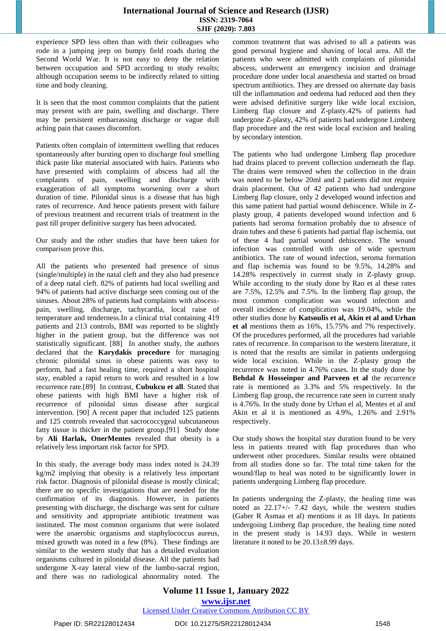experience SPD less often than with their colleagues who rode in a jumping jeep on bumpy field roads during the Second World War. It is not easy to deny the relation between occupation and SPD according to study results; although occupation seems to be indirectly related to sitting time and body cleaning.

It is seen that the most common complaints that the patient may present with are pain, swelling and discharge. There may be persistent embarrassing discharge or vague dull aching pain that causes discomfort.

Patients often complain of intermittent swelling that reduces spontaneously after bursting open to discharge foul smelling thick paste like material associated with hairs. Patients who have presented with complaints of abscess had all the complaints of pain, swelling and discharge with exaggeration of all symptoms worsening over a short duration of time. Pilonidal sinus is a disease that has high rates of recurrence. And hence patients present with failure of previous treatment and recurrent trials of treatment in the past till proper definitive surgery has been advocated.

Our study and the other studies that have been taken for comparison prove this.

All the patients who presented had presence of sinus (single/multiple) in the natal cleft and they also had presence of a deep natal cleft. 82% of patients had local swelling and 94% of patients had active discharge seen coming out of the sinuses. About 28% of patients had complaints with abscesspain, swelling, discharge, tachycardia, local raise of temperature and tenderness.In a clinical trial containing 419 patients and 213 controls, BMI was reported to be slightly higher in the patient group, but the difference was not statistically significant. [88] In another study, the authors declared that the **Karydakis procedure** for managing chronic pilonidal sinus in obese patients was easy to perform, had a fast healing time, required a short hospital stay, enabled a rapid return to work and resulted in a low recurrence rate.[89] In contrast, **Cubukcu et all**. Stated that obese patients with high BMI have a higher risk of recurrence of pilonidal sinus disease after surgical intervention. [90] A recent paper that included 125 patients and 125 controls revealed that sacrococcygeal subcutaneous fatty tissue is thicker in the patient group.[91] Study done by **Ali Harlak, OnerMentes** revealed that obesity is a relatively less important risk factor for SPD.

In this study, the average body mass index noted is 24.39 kg/m2 implying that obesity is a relatively less important risk factor. Diagnosis of pilonidal disease is mostly clinical; there are no specific investigations that are needed for the confirmation of its diagnosis. However, in patients presenting with discharge, the discharge was sent for culture and sensitivity and appropriate antibiotic treatment was instituted. The most common organisms that were isolated were the anaerobic organisms and staphylococcus aureus, mixed growth was noted in a few (8%). These findings are similar to the western study that has a detailed evaluation organisms cultured in pilonidal disease. All the patients had undergone X-ray lateral view of the lumbo-sacral region, and there was no radiological abnormality noted. The common treatment that was advised to all a patients was good personal hygiene and shaving of local area. All the patients who were admitted with complaints of pilonidal abscess, underwent an emergency incision and drainage procedure done under local anaesthesia and started on broad spectrum antibiotics. They are dressed on alternate day basis till the inflammation and oedema had reduced and then they were advised definitive surgery like wide local excision, Limberg flap closure and Z-plasty.42% of patients had undergone Z-plasty, 42% of patients had undergone Limberg flap procedure and the rest wide local excision and healing by secondary intention.

The patients who had undergone Limberg flap procedure had drains placed to prevent collection underneath the flap. The drains were removed when the collection in the drain was noted to be below 20ml and 2 patients did not require drain placement. Out of 42 patients who had undergone Limberg flap closure, only 2 developed wound infection and this same patient had partial wound dehiscence. While in Zplasty group, 4 patients developed wound infection and 6 patients had seroma formation probably due to absence of drain tubes and these 6 patients had partial flap ischemia, out of these 4 had partial wound dehiscence. The wound infection was controlled with use of wide spectrum antibiotics. The rate of wound infection, seroma formation and flap ischemia was found to be 9.5%, 14.28% and 14.28% respectively in current study in Z-plasty group. While according to the study done by Rao et al these rates are 7.5%, 12.5% and 7.5%. In the limberg flap group, the most common complication was wound infection and overall incidence of complication was 19.04%, while the other studies done by **Katsoulis et al, Akin et al and Urhan et al** mentions them as 16%, 15.75% and 7% respectively. Of the procedures performed, all the procedures had variable rates of recurrence. In comparison to the western literature, it is noted that the results are similar in patients undergoing wide local excision. While in the Z-plasty group the recurrence was noted in 4.76% cases. In the study done by **Behdal & Hosseinpor and Parveen et al** the recurrence rate is mentioned as 3.3% and 5% respectively. In the Limberg flap group, the recurrence rate seen in current study is 4.76%. In the study done by Urhan el al, Mentes et al and Akin et al it is mentioned as 4.9%, 1.26% and 2.91% respectively.

Our study shows the hospital stay duration found to be very less in patients treated with flap procedures than who underwent other procedures. Similar results were obtained from all studies done so far. The total time taken for the wound/flap to heal was noted to be significantly lower in patients undergoing Limberg flap procedure.

In patients undergoing the Z-plasty, the healing time was noted as 22.17+/- 7.42 days, while the western studies (Gaber R Asmaa et al) mentions it as 18 days. In patients undergoing Limberg flap procedure, the healing time noted in the present study is 14.93 days. While in western literature it noted to be 20.13±8.99 days.

**Volume 11 Issue 1, January 2022 www.ijsr.net** Licensed Under Creative Commons Attribution CC BY